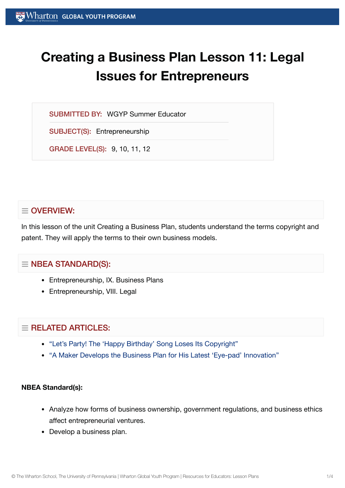# **Creating a Business Plan Lesson 11: Legal Issues for Entrepreneurs**

SUBMITTED BY: WGYP Summer Educator

SUBJECT(S): Entrepreneurship

GRADE LEVEL(S): 9, 10, 11, 12

# $\equiv$  OVERVIEW:

In this lesson of the unit Creating a Business Plan, students understand the terms copyright and patent. They will apply the terms to their own business models.

# $\equiv$  NBEA STANDARD(S):

- Entrepreneurship, IX. Business Plans
- Entrepreneurship, VIII. Legal

# $=$  RELATED ARTICLES:

- "Let's Party! The 'Happy Birthday' Song [Loses Its Copyright"](https://globalyouth.wharton.upenn.edu/articles/the-happy-birthday-song-loses-its-copyright/)
- "A Maker Develops the [Business Plan](https://globalyouth.wharton.upenn.edu/articles/young-maker-develops-business-plan-latest-eye-pad-innovation/) for His Latest 'Eye-pad' Innovation"

## **NBEA Standard(s):**

- Analyze how forms of business ownership, government regulations, and business ethics affect entrepreneurial ventures.
- Develop a business plan.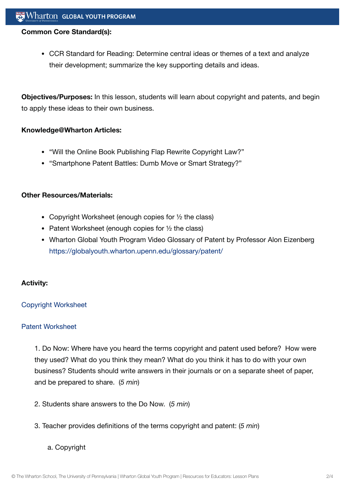#### **Common Core Standard(s):**

CCR Standard for Reading: Determine central ideas or themes of a text and analyze their development; summarize the key supporting details and ideas.

**Objectives/Purposes:** In this lesson, students will learn about copyright and patents, and begin to apply these ideas to their own business.

#### **Knowledge@Wharton Articles:**

- "Will the Online Book Publishing Flap Rewrite Copyright Law?"
- "Smartphone Patent Battles: Dumb Move or Smart Strategy?"

#### **Other Resources/Materials:**

- Copyright Worksheet (enough copies for 1/2 the class)
- Patent Worksheet (enough copies for  $\frac{1}{2}$  the class)
- Wharton Global Youth Program Video Glossary of Patent by Professor Alon Eizenberg <https://globalyouth.wharton.upenn.edu/glossary/patent/>

## **Activity:**

## Copyright [Worksheet](https://globalyouth.wharton.upenn.edu/wp-content/uploads/2012/02/Entrepreneurship11_copyrightwrksht.doc)

#### Patent [Worksheet](https://globalyouth.wharton.upenn.edu/wp-content/uploads/2012/02/Entrepreneurship11_patentwrksht.doc)

1. Do Now: Where have you heard the terms copyright and patent used before? How were they used? What do you think they mean? What do you think it has to do with your own business? Students should write answers in their journals or on a separate sheet of paper, and be prepared to share. (*5 min*)

- 2. Students share answers to the Do Now. (*5 min*)
- 3. Teacher provides definitions of the terms copyright and patent: (*5 min*)

## a. Copyright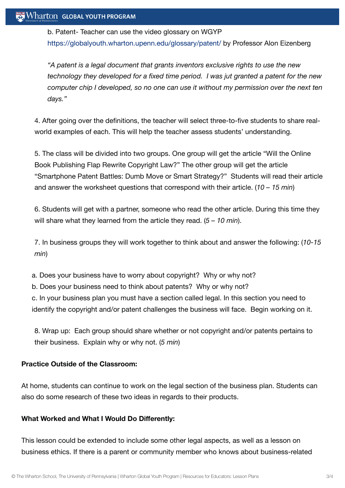b. Patent- Teacher can use the video glossary on WGYP <https://globalyouth.wharton.upenn.edu/glossary/patent/> by Professor Alon Eizenberg

*"A patent is a legal document that grants inventors exclusive rights to use the new technology they developed for a fixed time period. I was jut granted a patent for the new computer chip I developed, so no one can use it without my permission over the next ten days."*

4. After going over the definitions, the teacher will select three-to-five students to share realworld examples of each. This will help the teacher assess students' understanding.

5. The class will be divided into two groups. One group will get the article "Will the Online Book Publishing Flap Rewrite Copyright Law?" The other group will get the article "Smartphone Patent Battles: Dumb Move or Smart Strategy?" Students will read their article and answer the worksheet questions that correspond with their article. (*10 – 15 min*)

6. Students will get with a partner, someone who read the other article. During this time they will share what they learned from the article they read. (*5 – 10 min*).

7. In business groups they will work together to think about and answer the following: (*10-15 min*)

a. Does your business have to worry about copyright? Why or why not?

b. Does your business need to think about patents? Why or why not?

c. In your business plan you must have a section called legal. In this section you need to identify the copyright and/or patent challenges the business will face. Begin working on it.

8. Wrap up: Each group should share whether or not copyright and/or patents pertains to their business. Explain why or why not. (*5 min*)

## **Practice Outside of the Classroom:**

At home, students can continue to work on the legal section of the business plan. Students can also do some research of these two ideas in regards to their products.

# **What Worked and What I Would Do Differently:**

This lesson could be extended to include some other legal aspects, as well as a lesson on business ethics. If there is a parent or community member who knows about business-related